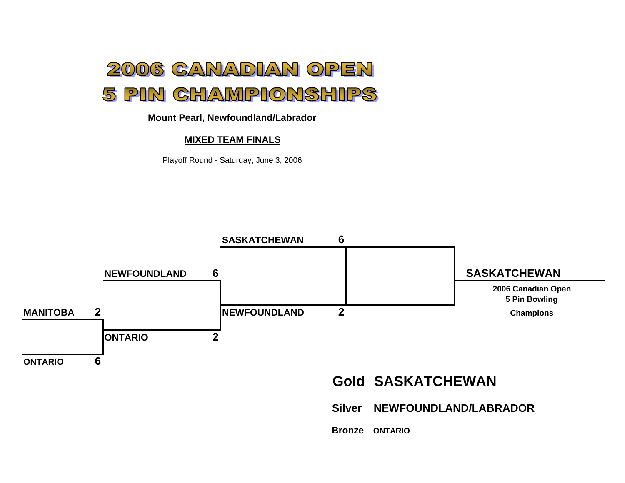

## **Mount Pearl, Newfoundland/Labrador**

## **MIXED TEAM FINALS**

Playoff Round - Saturday, June 3, 2006

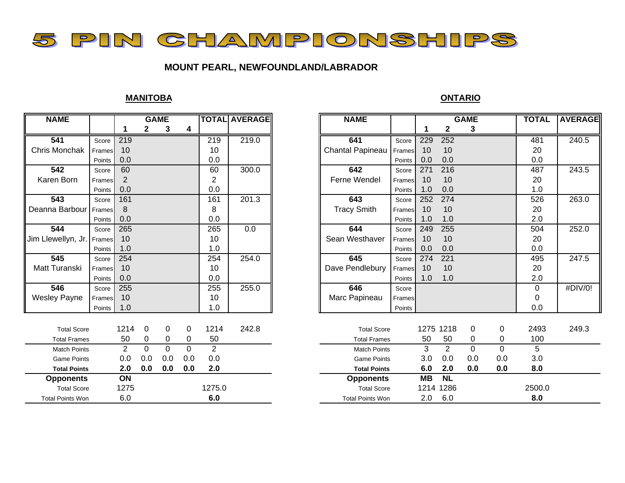

# **MOUNT PEARL, NEWFOUNDLAND/LABRADOR**

# **MANITOBA**

| $\mathbf 2$<br>$\mathbf{2}$<br>4<br>3<br>3<br>1<br>$\overline{541}$<br>219.0<br>219<br>219<br>641<br>229<br>252<br>Score<br>Score<br>Chris Monchak<br>Chantal Papineau<br>10<br>10<br>10<br>10<br>Frames<br>Frames<br>0.0<br>0.0<br>0.0<br>0.0<br>Points<br>Points<br>542<br>60<br>300.0<br>642<br>271<br>216<br>60<br>Score<br>Score<br>Ferne Wendel<br>Karen Born<br>10<br>2<br>2<br>10<br>Frames<br>Frames<br>0.0<br>0.0<br>0.0<br>1.0<br>Points<br>Points<br>201.3<br>543<br>161<br>643<br>161<br>252<br>274<br>Score<br>Score<br>Deanna Barbour<br><b>Tracy Smith</b><br>10<br>8<br>8<br>10<br>Frames<br>Frames<br>0.0<br>0.0<br>1.0<br>1.0<br>Points<br>Points<br>544<br>265<br>0.0<br>644<br>255<br>265<br>249<br>Score<br>Score<br>Jim Llewellyn, Jr.<br>10<br>Sean Westhaver<br>10<br>10<br>10<br>Frames<br>Frames<br>1.0<br>1.0<br>0.0<br>0.0<br>Points<br>Points<br>254.0<br>645<br>545<br>254<br>254<br>274<br>221<br>Score<br>Score<br>Matt Turanski<br>10<br>10<br>Dave Pendlebury<br>10<br>10<br>Frames<br>Frames<br>0.0<br>0.0<br>1.0<br>1.0<br>Points<br>Points<br>$\overline{546}$<br>255<br>255.0<br>646<br>255<br>Score<br>Score<br><b>Wesley Payne</b><br>10<br>10<br>Marc Papineau<br>Frames<br>Frames<br>1.0<br>1.0<br>Points<br>Points<br>1214<br>1214<br>242.8<br>1275 1218<br>0<br>0<br>0<br>0<br><b>Total Score</b><br>0<br><b>Total Score</b><br>50<br>0<br>50<br>0<br>50<br>50<br>0<br>0<br>$\mathbf 0$<br><b>Total Frames</b><br><b>Total Frames</b><br>$\overline{2}$<br>2<br>$\overline{0}$<br>2<br>3<br>$\mathbf 0$<br>0<br>$\mathbf 0$<br>$\Omega$<br><b>Match Points</b><br><b>Match Points</b><br>0.0<br>0.0<br>0.0<br>0.0<br>0.0<br>0.0<br>0.0<br>0.0<br>3.0<br><b>Game Points</b><br><b>Game Points</b><br>2.0<br>0.0<br>0.0<br>0.0<br>6.0<br>2.0<br>0.0<br>0.0<br>2.0<br><b>Total Points</b><br><b>Total Points</b><br>ON<br><b>NL</b><br><b>MB</b><br><b>Opponents</b><br><b>Opponents</b><br>1275<br>1275.0<br>1214 1286<br><b>Total Score</b><br><b>Total Score</b><br>6.0<br>6.0<br>2.0<br>6.0<br><b>Total Points Won</b><br><b>Total Points Won</b> | <b>NAME</b> | <b>GAME</b> |  | <b>TOTAL AVERAGE</b> | <b>NAME</b> |  | <b>GAME</b> | <b>TOTAL</b> |  |        |
|-------------------------------------------------------------------------------------------------------------------------------------------------------------------------------------------------------------------------------------------------------------------------------------------------------------------------------------------------------------------------------------------------------------------------------------------------------------------------------------------------------------------------------------------------------------------------------------------------------------------------------------------------------------------------------------------------------------------------------------------------------------------------------------------------------------------------------------------------------------------------------------------------------------------------------------------------------------------------------------------------------------------------------------------------------------------------------------------------------------------------------------------------------------------------------------------------------------------------------------------------------------------------------------------------------------------------------------------------------------------------------------------------------------------------------------------------------------------------------------------------------------------------------------------------------------------------------------------------------------------------------------------------------------------------------------------------------------------------------------------------------------------------------------------------------------------------------------------------------------------------------------------------------------------------------------------------------------------------------------------------------------------------------------------------------------------------------------------------|-------------|-------------|--|----------------------|-------------|--|-------------|--------------|--|--------|
| 481<br>20                                                                                                                                                                                                                                                                                                                                                                                                                                                                                                                                                                                                                                                                                                                                                                                                                                                                                                                                                                                                                                                                                                                                                                                                                                                                                                                                                                                                                                                                                                                                                                                                                                                                                                                                                                                                                                                                                                                                                                                                                                                                                       |             |             |  |                      |             |  |             |              |  |        |
|                                                                                                                                                                                                                                                                                                                                                                                                                                                                                                                                                                                                                                                                                                                                                                                                                                                                                                                                                                                                                                                                                                                                                                                                                                                                                                                                                                                                                                                                                                                                                                                                                                                                                                                                                                                                                                                                                                                                                                                                                                                                                                 |             |             |  |                      |             |  |             |              |  |        |
|                                                                                                                                                                                                                                                                                                                                                                                                                                                                                                                                                                                                                                                                                                                                                                                                                                                                                                                                                                                                                                                                                                                                                                                                                                                                                                                                                                                                                                                                                                                                                                                                                                                                                                                                                                                                                                                                                                                                                                                                                                                                                                 |             |             |  |                      |             |  |             |              |  |        |
|                                                                                                                                                                                                                                                                                                                                                                                                                                                                                                                                                                                                                                                                                                                                                                                                                                                                                                                                                                                                                                                                                                                                                                                                                                                                                                                                                                                                                                                                                                                                                                                                                                                                                                                                                                                                                                                                                                                                                                                                                                                                                                 |             |             |  |                      |             |  |             |              |  | 0.0    |
|                                                                                                                                                                                                                                                                                                                                                                                                                                                                                                                                                                                                                                                                                                                                                                                                                                                                                                                                                                                                                                                                                                                                                                                                                                                                                                                                                                                                                                                                                                                                                                                                                                                                                                                                                                                                                                                                                                                                                                                                                                                                                                 |             |             |  |                      |             |  |             |              |  | 487    |
|                                                                                                                                                                                                                                                                                                                                                                                                                                                                                                                                                                                                                                                                                                                                                                                                                                                                                                                                                                                                                                                                                                                                                                                                                                                                                                                                                                                                                                                                                                                                                                                                                                                                                                                                                                                                                                                                                                                                                                                                                                                                                                 |             |             |  |                      |             |  |             |              |  | 20     |
|                                                                                                                                                                                                                                                                                                                                                                                                                                                                                                                                                                                                                                                                                                                                                                                                                                                                                                                                                                                                                                                                                                                                                                                                                                                                                                                                                                                                                                                                                                                                                                                                                                                                                                                                                                                                                                                                                                                                                                                                                                                                                                 |             |             |  |                      |             |  |             |              |  | 1.0    |
|                                                                                                                                                                                                                                                                                                                                                                                                                                                                                                                                                                                                                                                                                                                                                                                                                                                                                                                                                                                                                                                                                                                                                                                                                                                                                                                                                                                                                                                                                                                                                                                                                                                                                                                                                                                                                                                                                                                                                                                                                                                                                                 |             |             |  |                      |             |  |             |              |  | 526    |
|                                                                                                                                                                                                                                                                                                                                                                                                                                                                                                                                                                                                                                                                                                                                                                                                                                                                                                                                                                                                                                                                                                                                                                                                                                                                                                                                                                                                                                                                                                                                                                                                                                                                                                                                                                                                                                                                                                                                                                                                                                                                                                 |             |             |  |                      |             |  |             |              |  | 20     |
|                                                                                                                                                                                                                                                                                                                                                                                                                                                                                                                                                                                                                                                                                                                                                                                                                                                                                                                                                                                                                                                                                                                                                                                                                                                                                                                                                                                                                                                                                                                                                                                                                                                                                                                                                                                                                                                                                                                                                                                                                                                                                                 |             |             |  |                      |             |  |             |              |  | 2.0    |
|                                                                                                                                                                                                                                                                                                                                                                                                                                                                                                                                                                                                                                                                                                                                                                                                                                                                                                                                                                                                                                                                                                                                                                                                                                                                                                                                                                                                                                                                                                                                                                                                                                                                                                                                                                                                                                                                                                                                                                                                                                                                                                 |             |             |  |                      |             |  |             |              |  | 504    |
|                                                                                                                                                                                                                                                                                                                                                                                                                                                                                                                                                                                                                                                                                                                                                                                                                                                                                                                                                                                                                                                                                                                                                                                                                                                                                                                                                                                                                                                                                                                                                                                                                                                                                                                                                                                                                                                                                                                                                                                                                                                                                                 |             |             |  |                      |             |  |             |              |  | 20     |
|                                                                                                                                                                                                                                                                                                                                                                                                                                                                                                                                                                                                                                                                                                                                                                                                                                                                                                                                                                                                                                                                                                                                                                                                                                                                                                                                                                                                                                                                                                                                                                                                                                                                                                                                                                                                                                                                                                                                                                                                                                                                                                 |             |             |  |                      |             |  |             |              |  | 0.0    |
|                                                                                                                                                                                                                                                                                                                                                                                                                                                                                                                                                                                                                                                                                                                                                                                                                                                                                                                                                                                                                                                                                                                                                                                                                                                                                                                                                                                                                                                                                                                                                                                                                                                                                                                                                                                                                                                                                                                                                                                                                                                                                                 |             |             |  |                      |             |  |             |              |  | 495    |
|                                                                                                                                                                                                                                                                                                                                                                                                                                                                                                                                                                                                                                                                                                                                                                                                                                                                                                                                                                                                                                                                                                                                                                                                                                                                                                                                                                                                                                                                                                                                                                                                                                                                                                                                                                                                                                                                                                                                                                                                                                                                                                 |             |             |  |                      |             |  |             |              |  | 20     |
|                                                                                                                                                                                                                                                                                                                                                                                                                                                                                                                                                                                                                                                                                                                                                                                                                                                                                                                                                                                                                                                                                                                                                                                                                                                                                                                                                                                                                                                                                                                                                                                                                                                                                                                                                                                                                                                                                                                                                                                                                                                                                                 |             |             |  |                      |             |  |             |              |  | 2.0    |
|                                                                                                                                                                                                                                                                                                                                                                                                                                                                                                                                                                                                                                                                                                                                                                                                                                                                                                                                                                                                                                                                                                                                                                                                                                                                                                                                                                                                                                                                                                                                                                                                                                                                                                                                                                                                                                                                                                                                                                                                                                                                                                 |             |             |  |                      |             |  |             |              |  | 0      |
|                                                                                                                                                                                                                                                                                                                                                                                                                                                                                                                                                                                                                                                                                                                                                                                                                                                                                                                                                                                                                                                                                                                                                                                                                                                                                                                                                                                                                                                                                                                                                                                                                                                                                                                                                                                                                                                                                                                                                                                                                                                                                                 |             |             |  |                      |             |  |             |              |  | 0      |
|                                                                                                                                                                                                                                                                                                                                                                                                                                                                                                                                                                                                                                                                                                                                                                                                                                                                                                                                                                                                                                                                                                                                                                                                                                                                                                                                                                                                                                                                                                                                                                                                                                                                                                                                                                                                                                                                                                                                                                                                                                                                                                 |             |             |  |                      |             |  |             |              |  | 0.0    |
|                                                                                                                                                                                                                                                                                                                                                                                                                                                                                                                                                                                                                                                                                                                                                                                                                                                                                                                                                                                                                                                                                                                                                                                                                                                                                                                                                                                                                                                                                                                                                                                                                                                                                                                                                                                                                                                                                                                                                                                                                                                                                                 |             |             |  |                      |             |  |             |              |  |        |
|                                                                                                                                                                                                                                                                                                                                                                                                                                                                                                                                                                                                                                                                                                                                                                                                                                                                                                                                                                                                                                                                                                                                                                                                                                                                                                                                                                                                                                                                                                                                                                                                                                                                                                                                                                                                                                                                                                                                                                                                                                                                                                 |             |             |  |                      |             |  |             |              |  | 2493   |
|                                                                                                                                                                                                                                                                                                                                                                                                                                                                                                                                                                                                                                                                                                                                                                                                                                                                                                                                                                                                                                                                                                                                                                                                                                                                                                                                                                                                                                                                                                                                                                                                                                                                                                                                                                                                                                                                                                                                                                                                                                                                                                 |             |             |  |                      |             |  |             |              |  | 100    |
|                                                                                                                                                                                                                                                                                                                                                                                                                                                                                                                                                                                                                                                                                                                                                                                                                                                                                                                                                                                                                                                                                                                                                                                                                                                                                                                                                                                                                                                                                                                                                                                                                                                                                                                                                                                                                                                                                                                                                                                                                                                                                                 |             |             |  |                      |             |  |             |              |  | 5      |
|                                                                                                                                                                                                                                                                                                                                                                                                                                                                                                                                                                                                                                                                                                                                                                                                                                                                                                                                                                                                                                                                                                                                                                                                                                                                                                                                                                                                                                                                                                                                                                                                                                                                                                                                                                                                                                                                                                                                                                                                                                                                                                 |             |             |  |                      |             |  |             |              |  | 3.0    |
|                                                                                                                                                                                                                                                                                                                                                                                                                                                                                                                                                                                                                                                                                                                                                                                                                                                                                                                                                                                                                                                                                                                                                                                                                                                                                                                                                                                                                                                                                                                                                                                                                                                                                                                                                                                                                                                                                                                                                                                                                                                                                                 |             |             |  |                      |             |  |             |              |  | 8.0    |
|                                                                                                                                                                                                                                                                                                                                                                                                                                                                                                                                                                                                                                                                                                                                                                                                                                                                                                                                                                                                                                                                                                                                                                                                                                                                                                                                                                                                                                                                                                                                                                                                                                                                                                                                                                                                                                                                                                                                                                                                                                                                                                 |             |             |  |                      |             |  |             |              |  |        |
|                                                                                                                                                                                                                                                                                                                                                                                                                                                                                                                                                                                                                                                                                                                                                                                                                                                                                                                                                                                                                                                                                                                                                                                                                                                                                                                                                                                                                                                                                                                                                                                                                                                                                                                                                                                                                                                                                                                                                                                                                                                                                                 |             |             |  |                      |             |  |             |              |  | 2500.0 |
|                                                                                                                                                                                                                                                                                                                                                                                                                                                                                                                                                                                                                                                                                                                                                                                                                                                                                                                                                                                                                                                                                                                                                                                                                                                                                                                                                                                                                                                                                                                                                                                                                                                                                                                                                                                                                                                                                                                                                                                                                                                                                                 |             |             |  |                      |             |  |             |              |  | 8.0    |

#### **ONTARIO**

| <b>NAME</b>         |        |                |     | <b>GAME</b> |          |                | <b>TOTAL AVERAGE</b> | <b>NAME</b>         |        |           |                | <b>GAME</b> |          | <b>TOTAL</b> | <b>AVERAGE</b> |
|---------------------|--------|----------------|-----|-------------|----------|----------------|----------------------|---------------------|--------|-----------|----------------|-------------|----------|--------------|----------------|
|                     |        |                |     | 3           | 4        |                |                      |                     |        |           | $\mathbf 2$    | 3           |          |              |                |
| 541                 | Score  | 219            |     |             |          | 219            | 219.0                | 641                 | Score  | 229       | 252            |             |          | 481          | 240.5          |
| s Monchak           | Frames | 10             |     |             |          | 10             |                      | Chantal Papineau    | Frames | 10        | 10             |             |          | 20           |                |
|                     | Points | 0.0            |     |             |          | 0.0            |                      |                     | Points | 0.0       | 0.0            |             |          | 0.0          |                |
| 542                 | Score  | 60             |     |             |          | 60             | 300.0                | 642                 | Score  | 271       | 216            |             |          | 487          | 243.5          |
| ren Born            | Frames | $\overline{2}$ |     |             |          | 2              |                      | Ferne Wendel        | Frames | 10        | 10             |             |          | 20           |                |
|                     | Points | 0.0            |     |             |          | 0.0            |                      |                     | Points | 1.0       | 0.0            |             |          | 1.0          |                |
| 543                 | Score  | 161            |     |             |          | 161            | 201.3                | 643                 | Score  | 252       | 274            |             |          | 526          | 263.0          |
| ına Barbour         | Frames | 8              |     |             |          | 8              |                      | <b>Tracy Smith</b>  | Frames | 10        | 10             |             |          | 20           |                |
|                     | Points | 0.0            |     |             |          | 0.0            |                      |                     | Points | 1.0       | 1.0            |             |          | 2.0          |                |
| 544                 | Score  | 265            |     |             |          | 265            | 0.0                  | 644                 | Score  | 249       | 255            |             |          | 504          | 252.0          |
| lewellyn, Jr.       | Frames | 10             |     |             |          | 10             |                      | Sean Westhaver      | Frames | 10        | 10             |             |          | 20           |                |
|                     | Points | 1.0            |     |             |          | 1.0            |                      |                     | Points | 0.0       | 0.0            |             |          | 0.0          |                |
| 545                 | Score  | 254            |     |             |          | 254            | 254.0                | 645                 | Score  | 274       | 221            |             |          | 495          | 247.5          |
| t Turanski          | Frames | 10             |     |             |          | 10             |                      | Dave Pendlebury     | Frames | 10        | 10             |             |          | 20           |                |
|                     | Points | 0.0            |     |             |          | 0.0            |                      |                     | Points | 1.0       | 1.0            |             |          | 2.0          |                |
| 546                 | Score  | 255            |     |             |          | 255            | 255.0                | 646                 | Score  |           |                |             |          | 0            | #DIV/0!        |
| ley Payne           | Frames | 10             |     |             |          | 10             |                      | Marc Papineau       | Frames |           |                |             |          | 0            |                |
|                     | Points | 1.0            |     |             |          | 1.0            |                      |                     | Points |           |                |             |          | 0.0          |                |
|                     |        |                |     |             |          |                |                      |                     |        |           |                |             |          |              |                |
| <b>Total Score</b>  |        | 1214           | 0   | 0           | 0        | 1214           | 242.8                | <b>Total Score</b>  |        |           | 1275 1218      | 0           | 0        | 2493         | 249.3          |
| <b>Total Frames</b> |        | 50             | 0   | 0           | 0        | 50             |                      | <b>Total Frames</b> |        | 50        | 50             | 0           | 0        | 100          |                |
| <b>Match Points</b> |        | 2              | 0   | 0           | $\Omega$ | $\overline{2}$ |                      | <b>Match Points</b> |        | 3         | $\overline{2}$ | $\Omega$    | $\Omega$ | 5            |                |
| <b>Game Points</b>  |        | 0.0            | 0.0 | 0.0         | 0.0      | 0.0            |                      | <b>Game Points</b>  |        | 3.0       | 0.0            | 0.0         | 0.0      | 3.0          |                |
| <b>Total Points</b> |        | 2.0            | 0.0 | 0.0         | 0.0      | 2.0            |                      | <b>Total Points</b> |        | 6.0       | 2.0            | 0.0         | 0.0      | 8.0          |                |
| <b>Opponents</b>    |        | ON             |     |             |          |                |                      | <b>Opponents</b>    |        | <b>MB</b> | <b>NL</b>      |             |          |              |                |